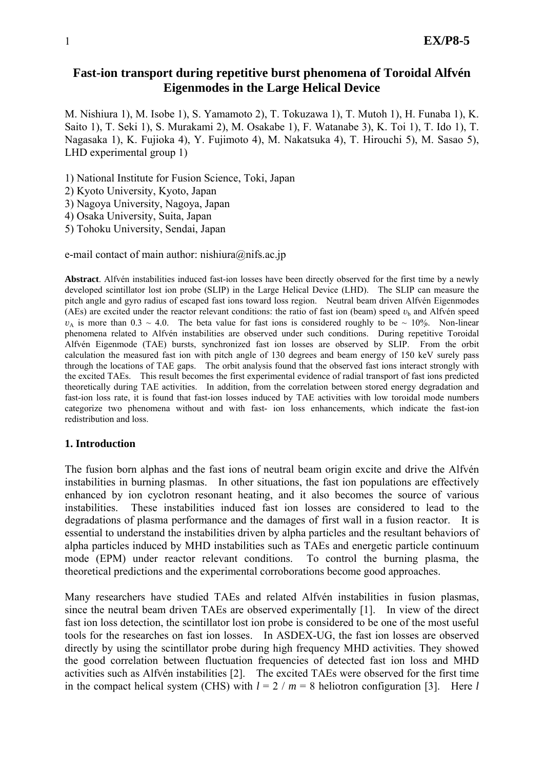# **Fast-ion transport during repetitive burst phenomena of Toroidal Alfvén Eigenmodes in the Large Helical Device**

M. Nishiura 1), M. Isobe 1), S. Yamamoto 2), T. Tokuzawa 1), T. Mutoh 1), H. Funaba 1), K. Saito 1), T. Seki 1), S. Murakami 2), M. Osakabe 1), F. Watanabe 3), K. Toi 1), T. Ido 1), T. Nagasaka 1), K. Fujioka 4), Y. Fujimoto 4), M. Nakatsuka 4), T. Hirouchi 5), M. Sasao 5), LHD experimental group 1)

1) National Institute for Fusion Science, Toki, Japan

2) Kyoto University, Kyoto, Japan

3) Nagoya University, Nagoya, Japan

4) Osaka University, Suita, Japan

5) Tohoku University, Sendai, Japan

e-mail contact of main author: nishiura@nifs.ac.jp

**Abstract**. Alfvén instabilities induced fast-ion losses have been directly observed for the first time by a newly developed scintillator lost ion probe (SLIP) in the Large Helical Device (LHD). The SLIP can measure the pitch angle and gyro radius of escaped fast ions toward loss region. Neutral beam driven Alfvén Eigenmodes (AEs) are excited under the reactor relevant conditions: the ratio of fast ion (beam) speed  $v<sub>b</sub>$  and Alfvén speed  $v_A$  is more than 0.3 ~ 4.0. The beta value for fast ions is considered roughly to be ~ 10%. Non-linear phenomena related to Alfvén instabilities are observed under such conditions. During repetitive Toroidal Alfvén Eigenmode (TAE) bursts, synchronized fast ion losses are observed by SLIP. From the orbit calculation the measured fast ion with pitch angle of 130 degrees and beam energy of 150 keV surely pass through the locations of TAE gaps. The orbit analysis found that the observed fast ions interact strongly with the excited TAEs. This result becomes the first experimental evidence of radial transport of fast ions predicted theoretically during TAE activities. In addition, from the correlation between stored energy degradation and fast-ion loss rate, it is found that fast-ion losses induced by TAE activities with low toroidal mode numbers categorize two phenomena without and with fast- ion loss enhancements, which indicate the fast-ion redistribution and loss.

### **1. Introduction**

The fusion born alphas and the fast ions of neutral beam origin excite and drive the Alfvén instabilities in burning plasmas. In other situations, the fast ion populations are effectively enhanced by ion cyclotron resonant heating, and it also becomes the source of various instabilities. These instabilities induced fast ion losses are considered to lead to the degradations of plasma performance and the damages of first wall in a fusion reactor. It is essential to understand the instabilities driven by alpha particles and the resultant behaviors of alpha particles induced by MHD instabilities such as TAEs and energetic particle continuum mode (EPM) under reactor relevant conditions. To control the burning plasma, the theoretical predictions and the experimental corroborations become good approaches.

Many researchers have studied TAEs and related Alfvén instabilities in fusion plasmas, since the neutral beam driven TAEs are observed experimentally [1]. In view of the direct fast ion loss detection, the scintillator lost ion probe is considered to be one of the most useful tools for the researches on fast ion losses. In ASDEX-UG, the fast ion losses are observed directly by using the scintillator probe during high frequency MHD activities. They showed the good correlation between fluctuation frequencies of detected fast ion loss and MHD activities such as Alfvén instabilities [2]. The excited TAEs were observed for the first time in the compact helical system (CHS) with  $l = 2 / m = 8$  heliotron configuration [3]. Here *l*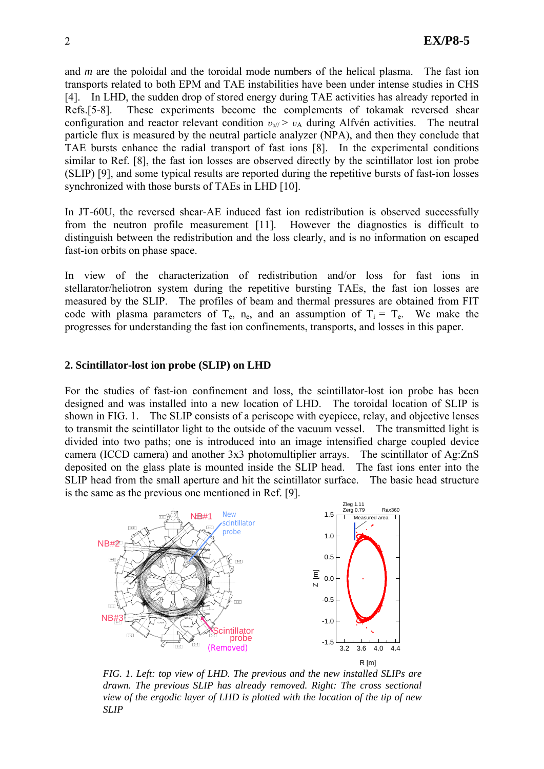and *m* are the poloidal and the toroidal mode numbers of the helical plasma. The fast ion transports related to both EPM and TAE instabilities have been under intense studies in CHS [4]. In LHD, the sudden drop of stored energy during TAE activities has already reported in Refs.[5-8]. These experiments become the complements of tokamak reversed shear configuration and reactor relevant condition  $v_{b//} > v_A$  during Alfvén activities. The neutral particle flux is measured by the neutral particle analyzer (NPA), and then they conclude that TAE bursts enhance the radial transport of fast ions [8]. In the experimental conditions similar to Ref. [8], the fast ion losses are observed directly by the scintillator lost ion probe (SLIP) [9], and some typical results are reported during the repetitive bursts of fast-ion losses synchronized with those bursts of TAEs in LHD [10].

In JT-60U, the reversed shear-AE induced fast ion redistribution is observed successfully from the neutron profile measurement [11]. However the diagnostics is difficult to distinguish between the redistribution and the loss clearly, and is no information on escaped fast-ion orbits on phase space.

In view of the characterization of redistribution and/or loss for fast ions in stellarator/heliotron system during the repetitive bursting TAEs, the fast ion losses are measured by the SLIP. The profiles of beam and thermal pressures are obtained from FIT code with plasma parameters of  $T_e$ , n<sub>e</sub>, and an assumption of  $T_i = T_e$ . We make the progresses for understanding the fast ion confinements, transports, and losses in this paper.

# **2. Scintillator-lost ion probe (SLIP) on LHD**

For the studies of fast-ion confinement and loss, the scintillator-lost ion probe has been designed and was installed into a new location of LHD. The toroidal location of SLIP is shown in FIG. 1. The SLIP consists of a periscope with eyepiece, relay, and objective lenses to transmit the scintillator light to the outside of the vacuum vessel. The transmitted light is divided into two paths; one is introduced into an image intensified charge coupled device camera (ICCD camera) and another 3x3 photomultiplier arrays. The scintillator of Ag:ZnS deposited on the glass plate is mounted inside the SLIP head. The fast ions enter into the SLIP head from the small aperture and hit the scintillator surface. The basic head structure is the same as the previous one mentioned in Ref. [9].



*FIG. 1. Left: top view of LHD. The previous and the new installed SLIPs are drawn. The previous SLIP has already removed. Right: The cross sectional view of the ergodic layer of LHD is plotted with the location of the tip of new SLIP*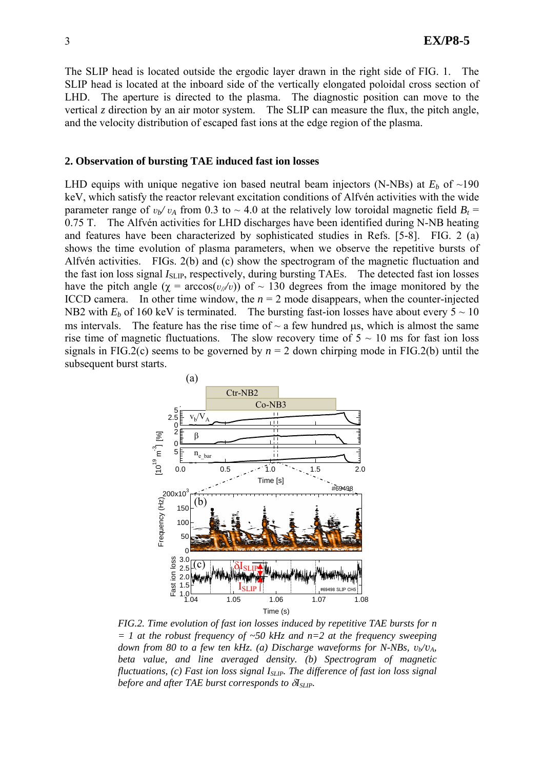The SLIP head is located outside the ergodic layer drawn in the right side of FIG. 1. The SLIP head is located at the inboard side of the vertically elongated poloidal cross section of LHD. The aperture is directed to the plasma. The diagnostic position can move to the vertical *z* direction by an air motor system. The SLIP can measure the flux, the pitch angle, and the velocity distribution of escaped fast ions at the edge region of the plasma.

### **2. Observation of bursting TAE induced fast ion losses**

LHD equips with unique negative ion based neutral beam injectors (N-NBs) at  $E_b$  of  $\sim$ 190 keV, which satisfy the reactor relevant excitation conditions of Alfvén activities with the wide parameter range of  $v_b/v_A$  from 0.3 to ~ 4.0 at the relatively low toroidal magnetic field  $B_t$  = 0.75 T. The Alfvén activities for LHD discharges have been identified during N-NB heating and features have been characterized by sophisticated studies in Refs. [5-8]. FIG. 2 (a) shows the time evolution of plasma parameters, when we observe the repetitive bursts of Alfvén activities. FIGs. 2(b) and (c) show the spectrogram of the magnetic fluctuation and the fast ion loss signal *I*<sub>SLIP</sub>, respectively, during bursting TAEs. The detected fast ion losses have the pitch angle  $(\chi = \arccos(v/v))$  of ~ 130 degrees from the image monitored by the ICCD camera. In other time window, the  $n = 2$  mode disappears, when the counter-injected NB2 with  $E_b$  of 160 keV is terminated. The bursting fast-ion losses have about every  $5 \sim 10$ ms intervals. The feature has the rise time of  $\sim$  a few hundred μs, which is almost the same rise time of magnetic fluctuations. The slow recovery time of  $5 \sim 10$  ms for fast ion loss signals in FIG.2(c) seems to be governed by  $n = 2$  down chirping mode in FIG.2(b) until the subsequent burst starts.



*FIG.2. Time evolution of fast ion losses induced by repetitive TAE bursts for n = 1 at the robust frequency of ~50 kHz and n=2 at the frequency sweeping down from 80 to a few ten kHz. (a) Discharge waveforms for N-NBs,*  $v_{b}/v_{A}$ *, beta value, and line averaged density. (b) Spectrogram of magnetic fluctuations, (c) Fast ion loss signal I<sub>SLIP</sub>. The difference of fast ion loss signal before and after TAE burst corresponds to*  $δI_{SLIP}$ *.*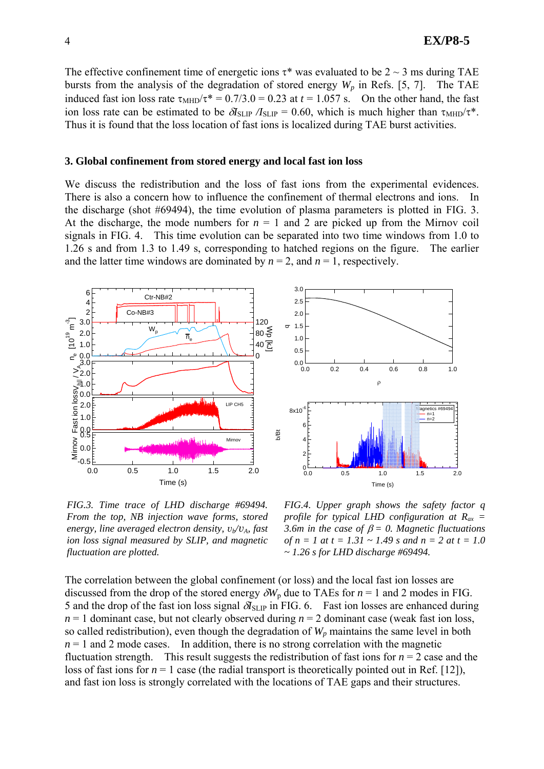The effective confinement time of energetic ions  $\tau^*$  was evaluated to be 2 ~ 3 ms during TAE bursts from the analysis of the degradation of stored energy  $W_p$  in Refs. [5, 7]. The TAE induced fast ion loss rate  $\tau_{\text{MHD}}/\tau^* = 0.7/3.0 = 0.23$  at  $t = 1.057$  s. On the other hand, the fast ion loss rate can be estimated to be  $\partial I_{SLIP} / I_{SLIP} = 0.60$ , which is much higher than  $\tau_{\text{MHD}} / \tau^*$ . Thus it is found that the loss location of fast ions is localized during TAE burst activities.

#### **3. Global confinement from stored energy and local fast ion loss**

We discuss the redistribution and the loss of fast ions from the experimental evidences. There is also a concern how to influence the confinement of thermal electrons and ions. In the discharge (shot #69494), the time evolution of plasma parameters is plotted in FIG. 3. At the discharge, the mode numbers for  $n = 1$  and 2 are picked up from the Mirnov coil signals in FIG. 4. This time evolution can be separated into two time windows from 1.0 to 1.26 s and from 1.3 to 1.49 s, corresponding to hatched regions on the figure. The earlier and the latter time windows are dominated by  $n = 2$ , and  $n = 1$ , respectively.



*FIG.3. Time trace of LHD discharge #69494. From the top, NB injection wave forms, stored energy, line averaged electron density,*  $v_b/v_A$ *, fast ion loss signal measured by SLIP, and magnetic fluctuation are plotted.*

*FIG.4. Upper graph shows the safety factor q profile for typical LHD configuration at Rax = 3.6m in the case of*  $\beta = 0$ *. Magnetic fluctuations of n = 1 at t = 1.31 ~ 1.49 s and n = 2 at t = 1.0 ~ 1.26 s for LHD discharge #69494.* 

The correlation between the global confinement (or loss) and the local fast ion losses are discussed from the drop of the stored energy  $\delta W_p$  due to TAEs for  $n = 1$  and 2 modes in FIG. 5 and the drop of the fast ion loss signal  $\partial I_{SLIP}$  in FIG. 6. Fast ion losses are enhanced during  $n = 1$  dominant case, but not clearly observed during  $n = 2$  dominant case (weak fast ion loss, so called redistribution), even though the degradation of  $W_p$  maintains the same level in both  $n = 1$  and 2 mode cases. In addition, there is no strong correlation with the magnetic fluctuation strength. This result suggests the redistribution of fast ions for  $n = 2$  case and the loss of fast ions for  $n = 1$  case (the radial transport is theoretically pointed out in Ref. [12]), and fast ion loss is strongly correlated with the locations of TAE gaps and their structures.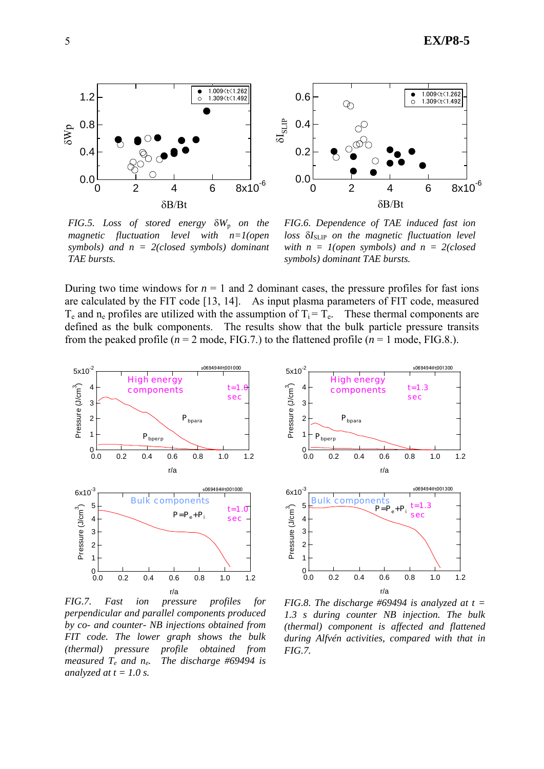



*FIG.5. Loss of stored energy*  $δW<sub>p</sub>$  *on the magnetic fluctuation level with n=1(open symbols) and n = 2(closed symbols) dominant TAE bursts.* 

*FIG.6. Dependence of TAE induced fast ion*  loss δI<sub>SLIP</sub> on the magnetic fluctuation level *with n = 1(open symbols) and n = 2(closed symbols) dominant TAE bursts.*

During two time windows for  $n = 1$  and 2 dominant cases, the pressure profiles for fast ions are calculated by the FIT code [13, 14]. As input plasma parameters of FIT code, measured  $T_e$  and n<sub>e</sub> profiles are utilized with the assumption of  $T_i = T_e$ . These thermal components are defined as the bulk components. The results show that the bulk particle pressure transits from the peaked profile ( $n = 2$  mode, FIG.7.) to the flattened profile ( $n = 1$  mode, FIG.8.).



*FIG.7. Fast ion pressure profiles for perpendicular and parallel components produced by co- and counter- NB injections obtained from FIT code. The lower graph shows the bulk (thermal) pressure profile obtained from measured Te and ne. The discharge #69494 is analyzed at*  $t = 1.0$  *s.* 



*FIG.8. The discharge #69494 is analyzed at t = 1.3 s during counter NB injection. The bulk (thermal) component is affected and flattened during Alfvén activities, compared with that in FIG.7.*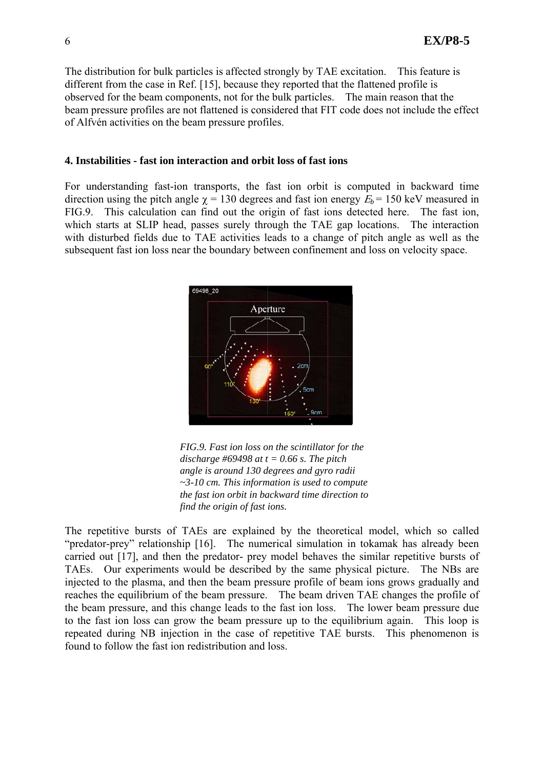The distribution for bulk particles is affected strongly by TAE excitation. This feature is different from the case in Ref. [15], because they reported that the flattened profile is observed for the beam components, not for the bulk particles. The main reason that the beam pressure profiles are not flattened is considered that FIT code does not include the effect of Alfvén activities on the beam pressure profiles.

### **4. Instabilities - fast ion interaction and orbit loss of fast ions**

For understanding fast-ion transports, the fast ion orbit is computed in backward time direction using the pitch angle  $\gamma$  = 130 degrees and fast ion energy  $E_b$  = 150 keV measured in FIG.9. This calculation can find out the origin of fast ions detected here. The fast ion, which starts at SLIP head, passes surely through the TAE gap locations. The interaction with disturbed fields due to TAE activities leads to a change of pitch angle as well as the subsequent fast ion loss near the boundary between confinement and loss on velocity space.



*FIG.9. Fast ion loss on the scintillator for the discharge #69498 at t = 0.66 s. The pitch angle is around 130 degrees and gyro radii ~3-10 cm. This information is used to compute the fast ion orbit in backward time direction to find the origin of fast ions.*

The repetitive bursts of TAEs are explained by the theoretical model, which so called "predator-prey" relationship [16]. The numerical simulation in tokamak has already been carried out [17], and then the predator- prey model behaves the similar repetitive bursts of TAEs. Our experiments would be described by the same physical picture. The NBs are injected to the plasma, and then the beam pressure profile of beam ions grows gradually and reaches the equilibrium of the beam pressure. The beam driven TAE changes the profile of the beam pressure, and this change leads to the fast ion loss. The lower beam pressure due to the fast ion loss can grow the beam pressure up to the equilibrium again. This loop is repeated during NB injection in the case of repetitive TAE bursts. This phenomenon is found to follow the fast ion redistribution and loss.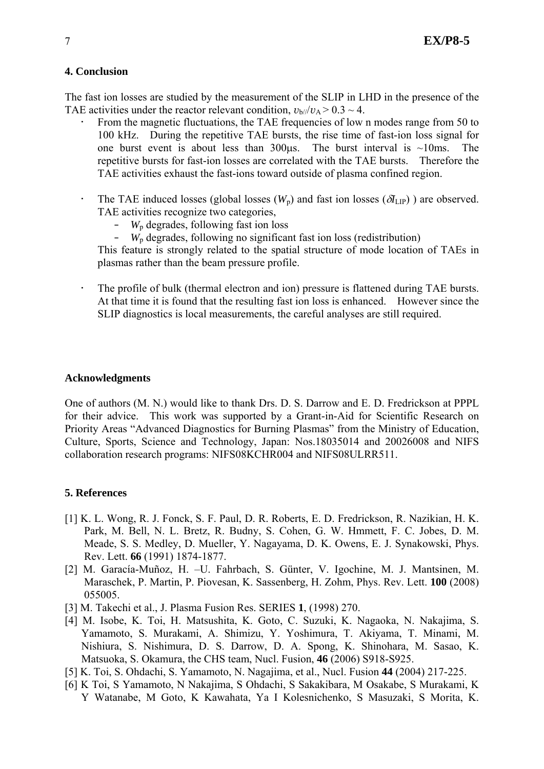## **4. Conclusion**

The fast ion losses are studied by the measurement of the SLIP in LHD in the presence of the TAE activities under the reactor relevant condition,  $v_{b}/v_A > 0.3 \sim 4$ .

- From the magnetic fluctuations, the TAE frequencies of low n modes range from 50 to 100 kHz. During the repetitive TAE bursts, the rise time of fast-ion loss signal for one burst event is about less than  $300\mu s$ . The burst interval is ~10ms. The repetitive bursts for fast-ion losses are correlated with the TAE bursts. Therefore the TAE activities exhaust the fast-ions toward outside of plasma confined region.
- The TAE induced losses (global losses  $(W_p)$  and fast ion losses  $(\partial I_{LP})$ ) are observed. TAE activities recognize two categories,
	- $W_p$  degrades, following fast ion loss<br>–  $W_p$  degrades, following no significan
	- *W*p degrades, following no significant fast ion loss (redistribution)

This feature is strongly related to the spatial structure of mode location of TAEs in plasmas rather than the beam pressure profile.

• The profile of bulk (thermal electron and ion) pressure is flattened during TAE bursts. At that time it is found that the resulting fast ion loss is enhanced. However since the SLIP diagnostics is local measurements, the careful analyses are still required.

### **Acknowledgments**

One of authors (M. N.) would like to thank Drs. D. S. Darrow and E. D. Fredrickson at PPPL for their advice. This work was supported by a Grant-in-Aid for Scientific Research on Priority Areas "Advanced Diagnostics for Burning Plasmas" from the Ministry of Education, Culture, Sports, Science and Technology, Japan: Nos.18035014 and 20026008 and NIFS collaboration research programs: NIFS08KCHR004 and NIFS08ULRR511.

### **5. References**

- [1] K. L. Wong, R. J. Fonck, S. F. Paul, D. R. Roberts, E. D. Fredrickson, R. Nazikian, H. K. Park, M. Bell, N. L. Bretz, R. Budny, S. Cohen, G. W. Hmmett, F. C. Jobes, D. M. Meade, S. S. Medley, D. Mueller, Y. Nagayama, D. K. Owens, E. J. Synakowski, Phys. Rev. Lett. **66** (1991) 1874-1877.
- [2] M. Garacía-Muñoz, H. –U. Fahrbach, S. Günter, V. Igochine, M. J. Mantsinen, M. Maraschek, P. Martin, P. Piovesan, K. Sassenberg, H. Zohm, Phys. Rev. Lett. **100** (2008) 055005.
- [3] M. Takechi et al., J. Plasma Fusion Res. SERIES **1**, (1998) 270.
- [4] M. Isobe, K. Toi, H. Matsushita, K. Goto, C. Suzuki, K. Nagaoka, N. Nakajima, S. Yamamoto, S. Murakami, A. Shimizu, Y. Yoshimura, T. Akiyama, T. Minami, M. Nishiura, S. Nishimura, D. S. Darrow, D. A. Spong, K. Shinohara, M. Sasao, K. Matsuoka, S. Okamura, the CHS team, Nucl. Fusion, **46** (2006) S918-S925.
- [5] K. Toi, S. Ohdachi, S. Yamamoto, N. Nagajima, et al., Nucl. Fusion **44** (2004) 217-225.
- [6] K Toi, S Yamamoto, N Nakajima, S Ohdachi, S Sakakibara, M Osakabe, S Murakami, K Y Watanabe, M Goto, K Kawahata, Ya I Kolesnichenko, S Masuzaki, S Morita, K.